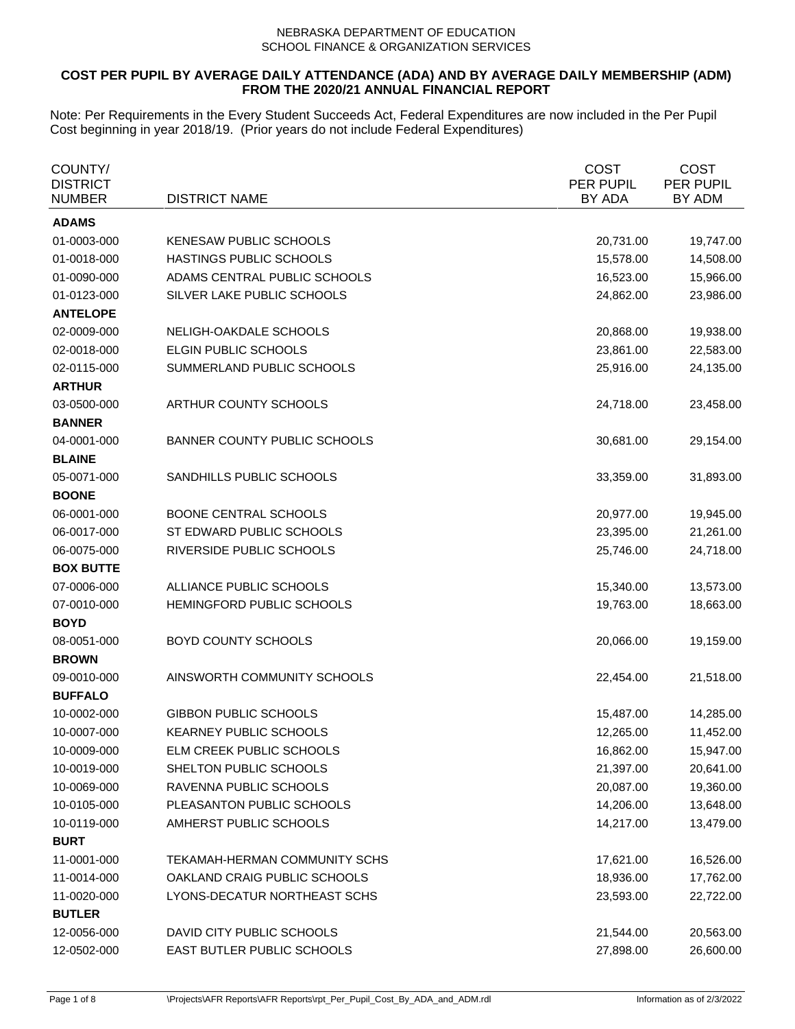# **COST PER PUPIL BY AVERAGE DAILY ATTENDANCE (ADA) AND BY AVERAGE DAILY MEMBERSHIP (ADM) FROM THE 2020/21 ANNUAL FINANCIAL REPORT**

| COUNTY/<br><b>DISTRICT</b><br>NUMBER | <b>DISTRICT NAME</b>                | <b>COST</b><br>PER PUPIL<br>BY ADA | <b>COST</b><br>PER PUPIL<br>BY ADM |
|--------------------------------------|-------------------------------------|------------------------------------|------------------------------------|
| <b>ADAMS</b>                         |                                     |                                    |                                    |
| 01-0003-000                          | KENESAW PUBLIC SCHOOLS              | 20,731.00                          | 19,747.00                          |
| 01-0018-000                          | HASTINGS PUBLIC SCHOOLS             | 15,578.00                          | 14,508.00                          |
| 01-0090-000                          | ADAMS CENTRAL PUBLIC SCHOOLS        | 16,523.00                          | 15,966.00                          |
| 01-0123-000                          | SILVER LAKE PUBLIC SCHOOLS          | 24,862.00                          | 23,986.00                          |
| <b>ANTELOPE</b>                      |                                     |                                    |                                    |
| 02-0009-000                          | NELIGH-OAKDALE SCHOOLS              | 20,868.00                          | 19,938.00                          |
| 02-0018-000                          | ELGIN PUBLIC SCHOOLS                | 23,861.00                          | 22,583.00                          |
| 02-0115-000                          | SUMMERLAND PUBLIC SCHOOLS           | 25,916.00                          | 24,135.00                          |
| <b>ARTHUR</b>                        |                                     |                                    |                                    |
| 03-0500-000                          | ARTHUR COUNTY SCHOOLS               | 24,718.00                          | 23,458.00                          |
| <b>BANNER</b>                        |                                     |                                    |                                    |
| 04-0001-000                          | <b>BANNER COUNTY PUBLIC SCHOOLS</b> | 30,681.00                          | 29,154.00                          |
| <b>BLAINE</b>                        |                                     |                                    |                                    |
| 05-0071-000                          | SANDHILLS PUBLIC SCHOOLS            | 33,359.00                          | 31,893.00                          |
| <b>BOONE</b>                         |                                     |                                    |                                    |
| 06-0001-000                          | <b>BOONE CENTRAL SCHOOLS</b>        | 20,977.00                          | 19,945.00                          |
| 06-0017-000                          | ST EDWARD PUBLIC SCHOOLS            | 23,395.00                          | 21,261.00                          |
| 06-0075-000                          | RIVERSIDE PUBLIC SCHOOLS            | 25,746.00                          | 24,718.00                          |
| <b>BOX BUTTE</b>                     |                                     |                                    |                                    |
| 07-0006-000                          | ALLIANCE PUBLIC SCHOOLS             | 15,340.00                          | 13,573.00                          |
| 07-0010-000                          | HEMINGFORD PUBLIC SCHOOLS           | 19,763.00                          | 18,663.00                          |
| <b>BOYD</b>                          |                                     |                                    |                                    |
| 08-0051-000                          | BOYD COUNTY SCHOOLS                 | 20,066.00                          | 19,159.00                          |
| <b>BROWN</b>                         |                                     |                                    |                                    |
| 09-0010-000                          | AINSWORTH COMMUNITY SCHOOLS         | 22,454.00                          | 21,518.00                          |
| <b>BUFFALO</b>                       |                                     |                                    |                                    |
| 10-0002-000                          | <b>GIBBON PUBLIC SCHOOLS</b>        | 15,487.00                          | 14,285.00                          |
| 10-0007-000                          | <b>KEARNEY PUBLIC SCHOOLS</b>       | 12,265.00                          | 11,452.00                          |
| 10-0009-000                          | ELM CREEK PUBLIC SCHOOLS            | 16,862.00                          | 15,947.00                          |
| 10-0019-000                          | SHELTON PUBLIC SCHOOLS              | 21,397.00                          | 20,641.00                          |
| 10-0069-000                          | RAVENNA PUBLIC SCHOOLS              | 20,087.00                          | 19,360.00                          |
| 10-0105-000                          | PLEASANTON PUBLIC SCHOOLS           | 14,206.00                          | 13,648.00                          |
| 10-0119-000                          | AMHERST PUBLIC SCHOOLS              | 14,217.00                          | 13,479.00                          |
| <b>BURT</b>                          |                                     |                                    |                                    |
| 11-0001-000                          | TEKAMAH-HERMAN COMMUNITY SCHS       | 17,621.00                          | 16,526.00                          |
| 11-0014-000                          | OAKLAND CRAIG PUBLIC SCHOOLS        | 18,936.00                          | 17,762.00                          |
| 11-0020-000                          | LYONS-DECATUR NORTHEAST SCHS        | 23,593.00                          | 22,722.00                          |
| <b>BUTLER</b>                        |                                     |                                    |                                    |
| 12-0056-000                          | DAVID CITY PUBLIC SCHOOLS           | 21,544.00                          | 20,563.00                          |
| 12-0502-000                          | EAST BUTLER PUBLIC SCHOOLS          | 27,898.00                          | 26,600.00                          |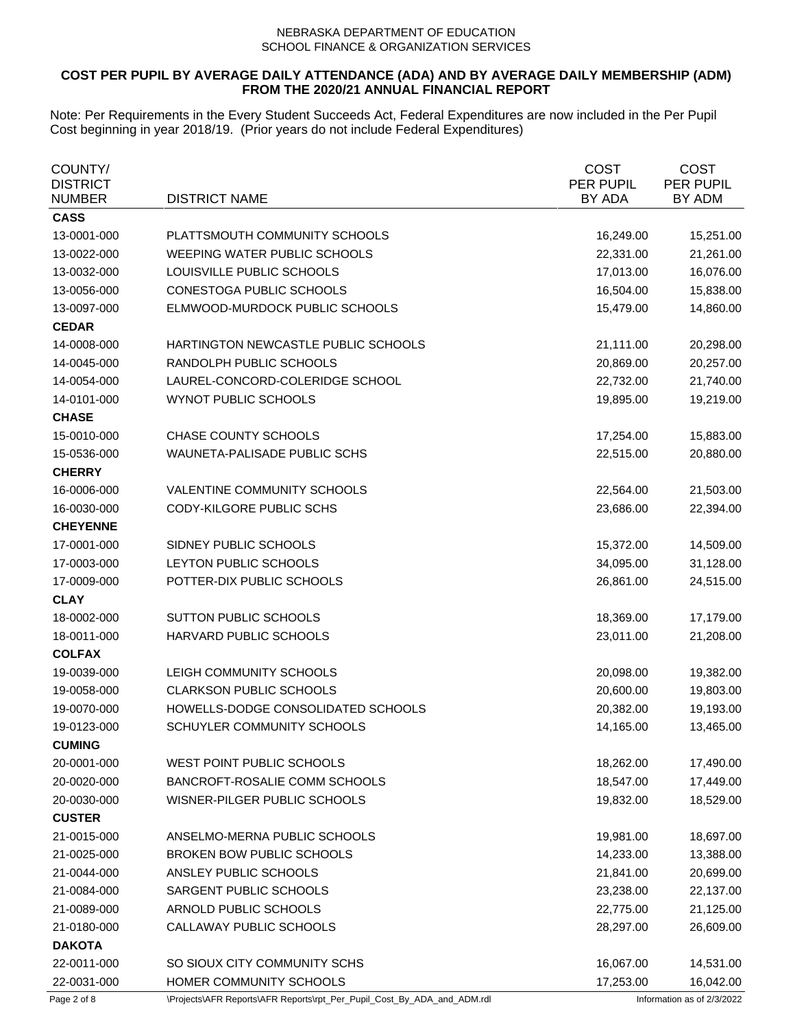# **COST PER PUPIL BY AVERAGE DAILY ATTENDANCE (ADA) AND BY AVERAGE DAILY MEMBERSHIP (ADM) FROM THE 2020/21 ANNUAL FINANCIAL REPORT**

| COUNTY/<br><b>DISTRICT</b><br><b>NUMBER</b> | <b>DISTRICT NAME</b>                | <b>COST</b><br>PER PUPIL<br>BY ADA | <b>COST</b><br>PER PUPIL<br>BY ADM |
|---------------------------------------------|-------------------------------------|------------------------------------|------------------------------------|
| <b>CASS</b>                                 |                                     |                                    |                                    |
| 13-0001-000                                 | PLATTSMOUTH COMMUNITY SCHOOLS       | 16,249.00                          | 15,251.00                          |
| 13-0022-000                                 | WEEPING WATER PUBLIC SCHOOLS        | 22,331.00                          | 21,261.00                          |
| 13-0032-000                                 | LOUISVILLE PUBLIC SCHOOLS           | 17,013.00                          | 16,076.00                          |
| 13-0056-000                                 | CONESTOGA PUBLIC SCHOOLS            | 16,504.00                          | 15,838.00                          |
| 13-0097-000                                 | ELMWOOD-MURDOCK PUBLIC SCHOOLS      | 15,479.00                          | 14,860.00                          |
| <b>CEDAR</b>                                |                                     |                                    |                                    |
| 14-0008-000                                 | HARTINGTON NEWCASTLE PUBLIC SCHOOLS | 21,111.00                          | 20,298.00                          |
| 14-0045-000                                 | RANDOLPH PUBLIC SCHOOLS             | 20,869.00                          | 20,257.00                          |
| 14-0054-000                                 | LAUREL-CONCORD-COLERIDGE SCHOOL     | 22,732.00                          | 21,740.00                          |
| 14-0101-000                                 | WYNOT PUBLIC SCHOOLS                | 19,895.00                          | 19,219.00                          |
| <b>CHASE</b>                                |                                     |                                    |                                    |
| 15-0010-000                                 | CHASE COUNTY SCHOOLS                | 17,254.00                          | 15,883.00                          |
| 15-0536-000                                 | WAUNETA-PALISADE PUBLIC SCHS        | 22,515.00                          | 20,880.00                          |
| <b>CHERRY</b>                               |                                     |                                    |                                    |
| 16-0006-000                                 | VALENTINE COMMUNITY SCHOOLS         | 22,564.00                          | 21,503.00                          |
| 16-0030-000                                 | CODY-KILGORE PUBLIC SCHS            | 23,686.00                          | 22,394.00                          |
| <b>CHEYENNE</b>                             |                                     |                                    |                                    |
| 17-0001-000                                 | SIDNEY PUBLIC SCHOOLS               | 15,372.00                          | 14,509.00                          |
| 17-0003-000                                 | LEYTON PUBLIC SCHOOLS               | 34,095.00                          | 31,128.00                          |
| 17-0009-000                                 | POTTER-DIX PUBLIC SCHOOLS           | 26,861.00                          | 24,515.00                          |
| <b>CLAY</b>                                 |                                     |                                    |                                    |
| 18-0002-000                                 | SUTTON PUBLIC SCHOOLS               | 18,369.00                          | 17,179.00                          |
| 18-0011-000                                 | HARVARD PUBLIC SCHOOLS              | 23,011.00                          | 21,208.00                          |
| <b>COLFAX</b>                               |                                     |                                    |                                    |
| 19-0039-000                                 | LEIGH COMMUNITY SCHOOLS             | 20,098.00                          | 19,382.00                          |
| 19-0058-000                                 | <b>CLARKSON PUBLIC SCHOOLS</b>      | 20,600.00                          | 19,803.00                          |
| 19-0070-000                                 | HOWELLS-DODGE CONSOLIDATED SCHOOLS  | 20,382.00                          | 19,193.00                          |
| 19-0123-000                                 | SCHUYLER COMMUNITY SCHOOLS          | 14,165.00                          | 13,465.00                          |
| <b>CUMING</b>                               |                                     |                                    |                                    |
| 20-0001-000                                 | WEST POINT PUBLIC SCHOOLS           | 18,262.00                          | 17,490.00                          |
| 20-0020-000                                 | BANCROFT-ROSALIE COMM SCHOOLS       | 18,547.00                          | 17,449.00                          |
| 20-0030-000                                 | WISNER-PILGER PUBLIC SCHOOLS        | 19,832.00                          | 18,529.00                          |
| <b>CUSTER</b>                               |                                     |                                    |                                    |
| 21-0015-000                                 | ANSELMO-MERNA PUBLIC SCHOOLS        | 19,981.00                          | 18,697.00                          |
| 21-0025-000                                 | BROKEN BOW PUBLIC SCHOOLS           | 14,233.00                          | 13,388.00                          |
| 21-0044-000                                 | ANSLEY PUBLIC SCHOOLS               | 21,841.00                          | 20,699.00                          |
| 21-0084-000                                 | SARGENT PUBLIC SCHOOLS              | 23,238.00                          | 22,137.00                          |
| 21-0089-000                                 | ARNOLD PUBLIC SCHOOLS               | 22,775.00                          | 21,125.00                          |
| 21-0180-000                                 | CALLAWAY PUBLIC SCHOOLS             | 28,297.00                          | 26,609.00                          |
| <b>DAKOTA</b>                               |                                     |                                    |                                    |
| 22-0011-000                                 | SO SIOUX CITY COMMUNITY SCHS        | 16,067.00                          | 14,531.00                          |
| 22-0031-000                                 | HOMER COMMUNITY SCHOOLS             | 17,253.00                          | 16,042.00                          |
|                                             |                                     |                                    |                                    |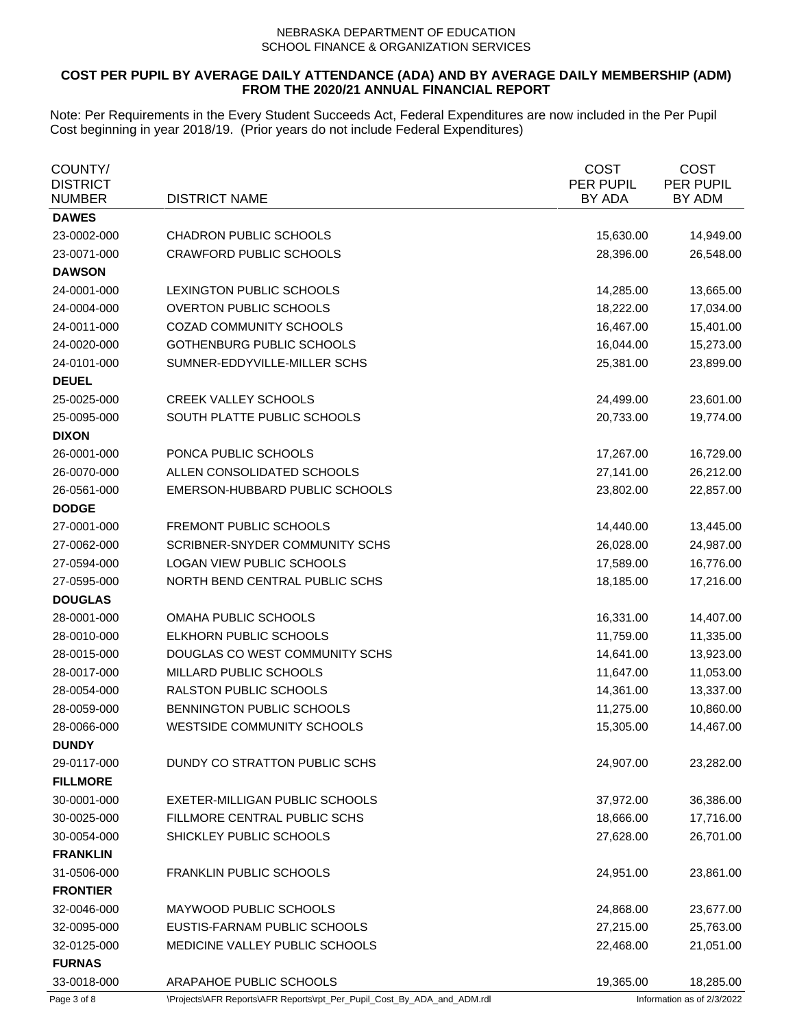# **COST PER PUPIL BY AVERAGE DAILY ATTENDANCE (ADA) AND BY AVERAGE DAILY MEMBERSHIP (ADM) FROM THE 2020/21 ANNUAL FINANCIAL REPORT**

| COUNTY/<br><b>DISTRICT</b><br><b>NUMBER</b> | <b>DISTRICT NAME</b>              | <b>COST</b><br>PER PUPIL<br>BY ADA | <b>COST</b><br>PER PUPIL<br>BY ADM |
|---------------------------------------------|-----------------------------------|------------------------------------|------------------------------------|
| <b>DAWES</b>                                |                                   |                                    |                                    |
| 23-0002-000                                 | <b>CHADRON PUBLIC SCHOOLS</b>     | 15,630.00                          | 14,949.00                          |
| 23-0071-000                                 | <b>CRAWFORD PUBLIC SCHOOLS</b>    | 28,396.00                          | 26,548.00                          |
| <b>DAWSON</b>                               |                                   |                                    |                                    |
| 24-0001-000                                 | LEXINGTON PUBLIC SCHOOLS          | 14,285.00                          | 13,665.00                          |
| 24-0004-000                                 | <b>OVERTON PUBLIC SCHOOLS</b>     | 18,222.00                          | 17,034.00                          |
| 24-0011-000                                 | COZAD COMMUNITY SCHOOLS           | 16,467.00                          | 15,401.00                          |
| 24-0020-000                                 | <b>GOTHENBURG PUBLIC SCHOOLS</b>  | 16,044.00                          | 15,273.00                          |
| 24-0101-000                                 | SUMNER-EDDYVILLE-MILLER SCHS      | 25,381.00                          | 23,899.00                          |
| <b>DEUEL</b>                                |                                   |                                    |                                    |
| 25-0025-000                                 | <b>CREEK VALLEY SCHOOLS</b>       | 24,499.00                          | 23,601.00                          |
| 25-0095-000                                 | SOUTH PLATTE PUBLIC SCHOOLS       | 20,733.00                          | 19,774.00                          |
| <b>DIXON</b>                                |                                   |                                    |                                    |
| 26-0001-000                                 | PONCA PUBLIC SCHOOLS              | 17,267.00                          | 16,729.00                          |
| 26-0070-000                                 | ALLEN CONSOLIDATED SCHOOLS        | 27,141.00                          | 26,212.00                          |
| 26-0561-000                                 | EMERSON-HUBBARD PUBLIC SCHOOLS    | 23,802.00                          | 22,857.00                          |
| <b>DODGE</b>                                |                                   |                                    |                                    |
| 27-0001-000                                 | <b>FREMONT PUBLIC SCHOOLS</b>     | 14,440.00                          | 13,445.00                          |
| 27-0062-000                                 | SCRIBNER-SNYDER COMMUNITY SCHS    | 26,028.00                          | 24,987.00                          |
| 27-0594-000                                 | LOGAN VIEW PUBLIC SCHOOLS         | 17,589.00                          | 16,776.00                          |
| 27-0595-000                                 | NORTH BEND CENTRAL PUBLIC SCHS    | 18,185.00                          | 17,216.00                          |
| <b>DOUGLAS</b>                              |                                   |                                    |                                    |
| 28-0001-000                                 | OMAHA PUBLIC SCHOOLS              | 16,331.00                          | 14,407.00                          |
| 28-0010-000                                 | ELKHORN PUBLIC SCHOOLS            | 11,759.00                          | 11,335.00                          |
| 28-0015-000                                 | DOUGLAS CO WEST COMMUNITY SCHS    | 14,641.00                          | 13,923.00                          |
| 28-0017-000                                 | MILLARD PUBLIC SCHOOLS            | 11,647.00                          | 11,053.00                          |
| 28-0054-000                                 | RALSTON PUBLIC SCHOOLS            | 14,361.00                          | 13,337.00                          |
| 28-0059-000                                 | BENNINGTON PUBLIC SCHOOLS         | 11,275.00                          | 10,860.00                          |
| 28-0066-000                                 | <b>WESTSIDE COMMUNITY SCHOOLS</b> | 15,305.00                          | 14,467.00                          |
| <b>DUNDY</b>                                |                                   |                                    |                                    |
| 29-0117-000                                 | DUNDY CO STRATTON PUBLIC SCHS     | 24,907.00                          | 23,282.00                          |
| <b>FILLMORE</b>                             |                                   |                                    |                                    |
| 30-0001-000                                 | EXETER-MILLIGAN PUBLIC SCHOOLS    | 37,972.00                          | 36,386.00                          |
| 30-0025-000                                 | FILLMORE CENTRAL PUBLIC SCHS      | 18,666.00                          | 17,716.00                          |
| 30-0054-000                                 | SHICKLEY PUBLIC SCHOOLS           | 27,628.00                          | 26,701.00                          |
| <b>FRANKLIN</b>                             |                                   |                                    |                                    |
| 31-0506-000                                 | <b>FRANKLIN PUBLIC SCHOOLS</b>    | 24,951.00                          | 23,861.00                          |
| <b>FRONTIER</b>                             |                                   |                                    |                                    |
| 32-0046-000                                 | MAYWOOD PUBLIC SCHOOLS            | 24,868.00                          | 23,677.00                          |
| 32-0095-000                                 | EUSTIS-FARNAM PUBLIC SCHOOLS      | 27,215.00                          | 25,763.00                          |
| 32-0125-000                                 | MEDICINE VALLEY PUBLIC SCHOOLS    | 22,468.00                          | 21,051.00                          |
| <b>FURNAS</b>                               |                                   |                                    |                                    |
| 33-0018-000                                 | ARAPAHOE PUBLIC SCHOOLS           | 19,365.00                          | 18,285.00                          |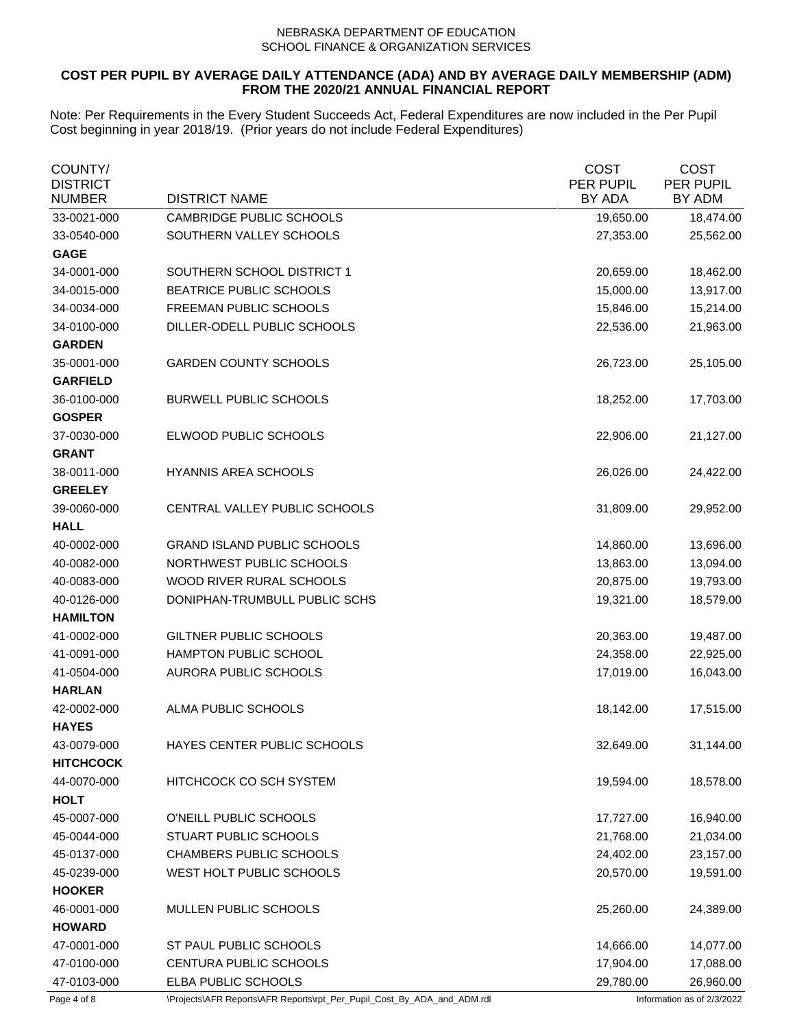# **COST PER PUPIL BY AVERAGE DAILY ATTENDANCE (ADA) AND BY AVERAGE DAILY MEMBERSHIP (ADM) FROM THE 2020/21 ANNUAL FINANCIAL REPORT**

| COUNTY/<br><b>DISTRICT</b><br><b>NUMBER</b> | <b>DISTRICT NAME</b>               | <b>COST</b><br>PER PUPIL<br>BY ADA | <b>COST</b><br><b>PER PUPIL</b><br>BY ADM |
|---------------------------------------------|------------------------------------|------------------------------------|-------------------------------------------|
| 33-0021-000                                 | CAMBRIDGE PUBLIC SCHOOLS           | 19,650.00                          | 18,474.00                                 |
| 33-0540-000                                 | SOUTHERN VALLEY SCHOOLS            | 27,353.00                          | 25,562.00                                 |
| <b>GAGE</b>                                 |                                    |                                    |                                           |
| 34-0001-000                                 | SOUTHERN SCHOOL DISTRICT 1         | 20,659.00                          | 18,462.00                                 |
| 34-0015-000                                 | <b>BEATRICE PUBLIC SCHOOLS</b>     | 15,000.00                          | 13,917.00                                 |
| 34-0034-000                                 | FREEMAN PUBLIC SCHOOLS             | 15,846.00                          | 15,214.00                                 |
| 34-0100-000                                 | DILLER-ODELL PUBLIC SCHOOLS        | 22,536.00                          | 21,963.00                                 |
| <b>GARDEN</b>                               |                                    |                                    |                                           |
| 35-0001-000                                 | <b>GARDEN COUNTY SCHOOLS</b>       | 26,723.00                          | 25,105.00                                 |
| <b>GARFIELD</b>                             |                                    |                                    |                                           |
| 36-0100-000                                 | <b>BURWELL PUBLIC SCHOOLS</b>      | 18,252.00                          | 17,703.00                                 |
| <b>GOSPER</b>                               |                                    |                                    |                                           |
| 37-0030-000                                 | ELWOOD PUBLIC SCHOOLS              | 22,906.00                          | 21,127.00                                 |
| <b>GRANT</b>                                |                                    |                                    |                                           |
| 38-0011-000                                 | <b>HYANNIS AREA SCHOOLS</b>        | 26,026.00                          | 24,422.00                                 |
| <b>GREELEY</b>                              |                                    |                                    |                                           |
| 39-0060-000                                 | CENTRAL VALLEY PUBLIC SCHOOLS      | 31,809.00                          | 29,952.00                                 |
| <b>HALL</b>                                 |                                    |                                    |                                           |
| 40-0002-000                                 | <b>GRAND ISLAND PUBLIC SCHOOLS</b> | 14,860.00                          | 13,696.00                                 |
| 40-0082-000                                 | NORTHWEST PUBLIC SCHOOLS           | 13,863.00                          | 13,094.00                                 |
| 40-0083-000                                 | WOOD RIVER RURAL SCHOOLS           | 20,875.00                          | 19,793.00                                 |
| 40-0126-000                                 | DONIPHAN-TRUMBULL PUBLIC SCHS      | 19,321.00                          | 18,579.00                                 |
| <b>HAMILTON</b>                             |                                    |                                    |                                           |
| 41-0002-000                                 | GILTNER PUBLIC SCHOOLS             | 20,363.00                          | 19,487.00                                 |
| 41-0091-000                                 | <b>HAMPTON PUBLIC SCHOOL</b>       | 24,358.00                          | 22,925.00                                 |
| 41-0504-000                                 | <b>AURORA PUBLIC SCHOOLS</b>       | 17,019.00                          | 16,043.00                                 |
| <b>HARLAN</b>                               |                                    |                                    |                                           |
| 42-0002-000                                 | ALMA PUBLIC SCHOOLS                | 18,142.00                          | 17,515.00                                 |
| <b>HAYES</b>                                |                                    |                                    |                                           |
| 43-0079-000                                 | HAYES CENTER PUBLIC SCHOOLS        | 32,649.00                          | 31,144.00                                 |
| <b>HITCHCOCK</b>                            |                                    |                                    |                                           |
| 44-0070-000                                 | HITCHCOCK CO SCH SYSTEM            | 19,594.00                          | 18,578.00                                 |
| <b>HOLT</b>                                 |                                    |                                    |                                           |
| 45-0007-000                                 | O'NEILL PUBLIC SCHOOLS             | 17,727.00                          | 16,940.00                                 |
| 45-0044-000                                 | STUART PUBLIC SCHOOLS              | 21,768.00                          | 21,034.00                                 |
| 45-0137-000                                 | <b>CHAMBERS PUBLIC SCHOOLS</b>     | 24,402.00                          | 23,157.00                                 |
| 45-0239-000                                 | WEST HOLT PUBLIC SCHOOLS           | 20,570.00                          | 19,591.00                                 |
| <b>HOOKER</b>                               |                                    |                                    |                                           |
| 46-0001-000                                 | MULLEN PUBLIC SCHOOLS              | 25,260.00                          | 24,389.00                                 |
| <b>HOWARD</b>                               |                                    |                                    |                                           |
| 47-0001-000                                 | ST PAUL PUBLIC SCHOOLS             | 14,666.00                          | 14,077.00                                 |
| 47-0100-000                                 | CENTURA PUBLIC SCHOOLS             | 17,904.00                          | 17,088.00                                 |
| 47-0103-000                                 | ELBA PUBLIC SCHOOLS                | 29,780.00                          | 26,960.00                                 |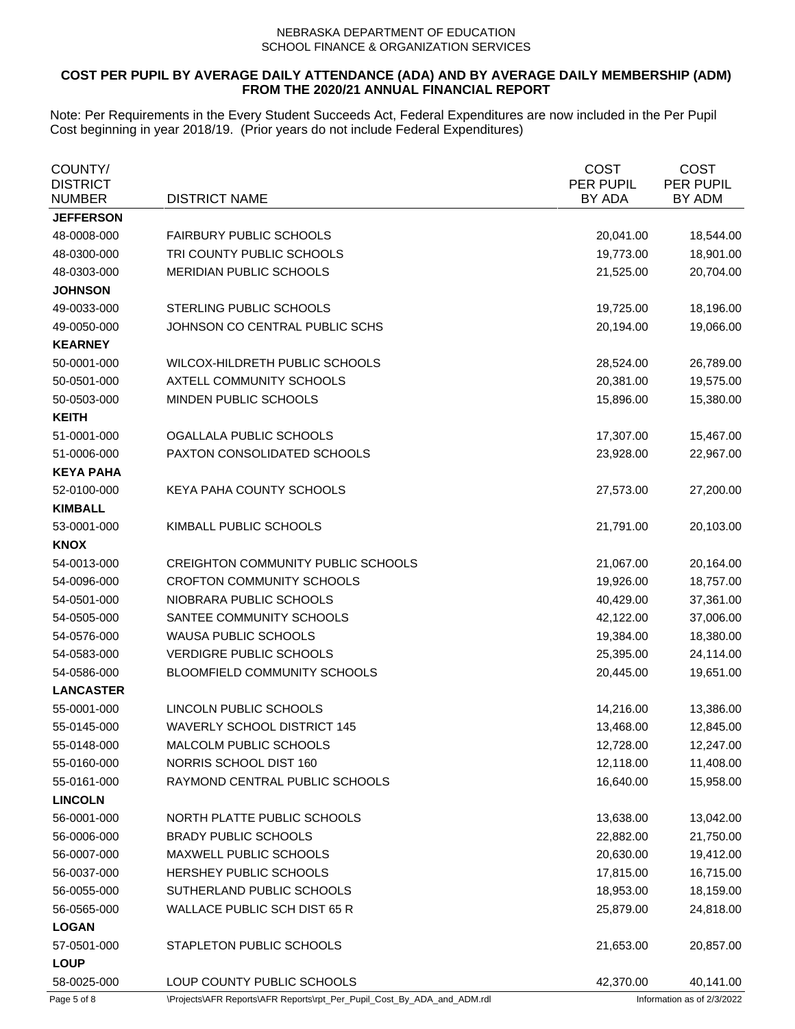# **COST PER PUPIL BY AVERAGE DAILY ATTENDANCE (ADA) AND BY AVERAGE DAILY MEMBERSHIP (ADM) FROM THE 2020/21 ANNUAL FINANCIAL REPORT**

| COUNTY/<br><b>DISTRICT</b><br>NUMBER | <b>DISTRICT NAME</b>                      | <b>COST</b><br>PER PUPIL<br>BY ADA | <b>COST</b><br>PER PUPIL<br>BY ADM |
|--------------------------------------|-------------------------------------------|------------------------------------|------------------------------------|
| <b>JEFFERSON</b>                     |                                           |                                    |                                    |
| 48-0008-000                          | <b>FAIRBURY PUBLIC SCHOOLS</b>            | 20,041.00                          | 18,544.00                          |
| 48-0300-000                          | TRI COUNTY PUBLIC SCHOOLS                 | 19,773.00                          | 18,901.00                          |
| 48-0303-000                          | MERIDIAN PUBLIC SCHOOLS                   | 21,525.00                          | 20,704.00                          |
| <b>JOHNSON</b>                       |                                           |                                    |                                    |
| 49-0033-000                          | STERLING PUBLIC SCHOOLS                   | 19,725.00                          | 18,196.00                          |
| 49-0050-000                          | JOHNSON CO CENTRAL PUBLIC SCHS            | 20,194.00                          | 19,066.00                          |
| <b>KEARNEY</b>                       |                                           |                                    |                                    |
| 50-0001-000                          | WILCOX-HILDRETH PUBLIC SCHOOLS            | 28,524.00                          | 26,789.00                          |
| 50-0501-000                          | AXTELL COMMUNITY SCHOOLS                  | 20,381.00                          | 19,575.00                          |
| 50-0503-000                          | MINDEN PUBLIC SCHOOLS                     | 15,896.00                          | 15,380.00                          |
| <b>KEITH</b>                         |                                           |                                    |                                    |
| 51-0001-000                          | OGALLALA PUBLIC SCHOOLS                   | 17,307.00                          | 15,467.00                          |
| 51-0006-000                          | PAXTON CONSOLIDATED SCHOOLS               | 23,928.00                          | 22,967.00                          |
| <b>KEYA PAHA</b>                     |                                           |                                    |                                    |
| 52-0100-000                          | KEYA PAHA COUNTY SCHOOLS                  | 27,573.00                          | 27,200.00                          |
| <b>KIMBALL</b>                       |                                           |                                    |                                    |
| 53-0001-000                          | KIMBALL PUBLIC SCHOOLS                    | 21,791.00                          | 20,103.00                          |
| <b>KNOX</b>                          |                                           |                                    |                                    |
| 54-0013-000                          | <b>CREIGHTON COMMUNITY PUBLIC SCHOOLS</b> | 21,067.00                          | 20,164.00                          |
| 54-0096-000                          | <b>CROFTON COMMUNITY SCHOOLS</b>          | 19,926.00                          | 18,757.00                          |
| 54-0501-000                          | NIOBRARA PUBLIC SCHOOLS                   | 40,429.00                          | 37,361.00                          |
| 54-0505-000                          | SANTEE COMMUNITY SCHOOLS                  | 42,122.00                          | 37,006.00                          |
| 54-0576-000                          | <b>WAUSA PUBLIC SCHOOLS</b>               | 19,384.00                          | 18,380.00                          |
| 54-0583-000                          | <b>VERDIGRE PUBLIC SCHOOLS</b>            | 25,395.00                          | 24,114.00                          |
| 54-0586-000                          | BLOOMFIELD COMMUNITY SCHOOLS              | 20,445.00                          | 19,651.00                          |
| <b>LANCASTER</b>                     |                                           |                                    |                                    |
| 55-0001-000                          | LINCOLN PUBLIC SCHOOLS                    | 14,216.00                          | 13,386.00                          |
| 55-0145-000                          | <b>WAVERLY SCHOOL DISTRICT 145</b>        | 13,468.00                          | 12,845.00                          |
| 55-0148-000                          | MALCOLM PUBLIC SCHOOLS                    | 12,728.00                          | 12,247.00                          |
| 55-0160-000                          | NORRIS SCHOOL DIST 160                    | 12,118.00                          | 11,408.00                          |
| 55-0161-000                          | RAYMOND CENTRAL PUBLIC SCHOOLS            | 16,640.00                          | 15,958.00                          |
| <b>LINCOLN</b>                       |                                           |                                    |                                    |
| 56-0001-000                          | NORTH PLATTE PUBLIC SCHOOLS               | 13,638.00                          | 13,042.00                          |
| 56-0006-000                          | <b>BRADY PUBLIC SCHOOLS</b>               | 22,882.00                          | 21,750.00                          |
| 56-0007-000                          | MAXWELL PUBLIC SCHOOLS                    | 20,630.00                          | 19,412.00                          |
| 56-0037-000                          | HERSHEY PUBLIC SCHOOLS                    | 17,815.00                          | 16,715.00                          |
| 56-0055-000                          | SUTHERLAND PUBLIC SCHOOLS                 | 18,953.00                          | 18,159.00                          |
| 56-0565-000                          | <b>WALLACE PUBLIC SCH DIST 65 R</b>       | 25,879.00                          | 24,818.00                          |
| <b>LOGAN</b>                         |                                           |                                    |                                    |
| 57-0501-000                          | STAPLETON PUBLIC SCHOOLS                  | 21,653.00                          | 20,857.00                          |
| <b>LOUP</b>                          |                                           |                                    |                                    |
| 58-0025-000                          | LOUP COUNTY PUBLIC SCHOOLS                | 42,370.00                          | 40,141.00                          |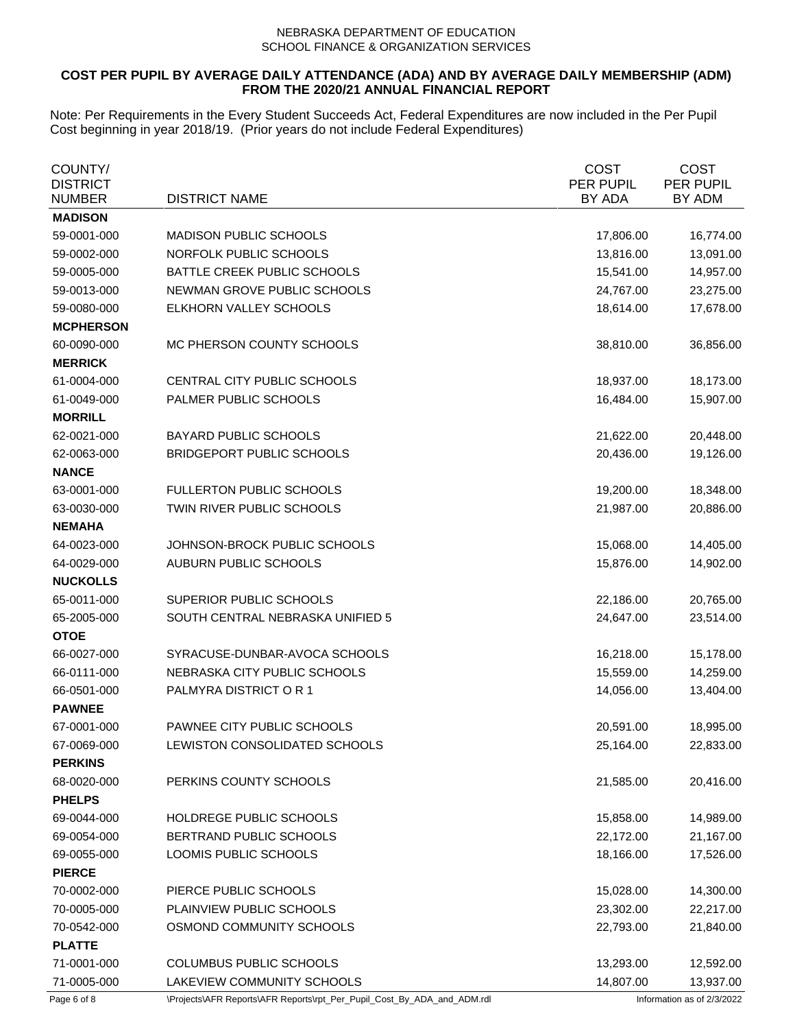# **COST PER PUPIL BY AVERAGE DAILY ATTENDANCE (ADA) AND BY AVERAGE DAILY MEMBERSHIP (ADM) FROM THE 2020/21 ANNUAL FINANCIAL REPORT**

| COUNTY/<br><b>DISTRICT</b><br><b>NUMBER</b> | <b>DISTRICT NAME</b>                                                    | <b>COST</b><br>PER PUPIL<br>BY ADA | <b>COST</b><br>PER PUPIL<br>BY ADM |
|---------------------------------------------|-------------------------------------------------------------------------|------------------------------------|------------------------------------|
| <b>MADISON</b>                              |                                                                         |                                    |                                    |
| 59-0001-000                                 | <b>MADISON PUBLIC SCHOOLS</b>                                           | 17,806.00                          | 16,774.00                          |
| 59-0002-000                                 | NORFOLK PUBLIC SCHOOLS                                                  | 13,816.00                          | 13,091.00                          |
| 59-0005-000                                 | BATTLE CREEK PUBLIC SCHOOLS                                             | 15,541.00                          | 14,957.00                          |
| 59-0013-000                                 | NEWMAN GROVE PUBLIC SCHOOLS                                             | 24,767.00                          | 23,275.00                          |
| 59-0080-000                                 | ELKHORN VALLEY SCHOOLS                                                  | 18,614.00                          | 17,678.00                          |
| <b>MCPHERSON</b>                            |                                                                         |                                    |                                    |
| 60-0090-000                                 | MC PHERSON COUNTY SCHOOLS                                               | 38,810.00                          | 36,856.00                          |
| <b>MERRICK</b>                              |                                                                         |                                    |                                    |
| 61-0004-000                                 | CENTRAL CITY PUBLIC SCHOOLS                                             | 18,937.00                          | 18,173.00                          |
| 61-0049-000                                 | PALMER PUBLIC SCHOOLS                                                   | 16,484.00                          | 15,907.00                          |
| <b>MORRILL</b>                              |                                                                         |                                    |                                    |
| 62-0021-000                                 | <b>BAYARD PUBLIC SCHOOLS</b>                                            | 21,622.00                          | 20,448.00                          |
| 62-0063-000                                 | <b>BRIDGEPORT PUBLIC SCHOOLS</b>                                        | 20,436.00                          | 19,126.00                          |
| <b>NANCE</b>                                |                                                                         |                                    |                                    |
| 63-0001-000                                 | <b>FULLERTON PUBLIC SCHOOLS</b>                                         | 19,200.00                          | 18,348.00                          |
| 63-0030-000                                 | TWIN RIVER PUBLIC SCHOOLS                                               | 21,987.00                          | 20,886.00                          |
| <b>NEMAHA</b>                               |                                                                         |                                    |                                    |
| 64-0023-000                                 | JOHNSON-BROCK PUBLIC SCHOOLS                                            | 15,068.00                          | 14,405.00                          |
| 64-0029-000                                 | AUBURN PUBLIC SCHOOLS                                                   | 15,876.00                          | 14,902.00                          |
| <b>NUCKOLLS</b>                             |                                                                         |                                    |                                    |
| 65-0011-000                                 | SUPERIOR PUBLIC SCHOOLS                                                 | 22,186.00                          | 20,765.00                          |
| 65-2005-000                                 | SOUTH CENTRAL NEBRASKA UNIFIED 5                                        | 24,647.00                          | 23,514.00                          |
| <b>OTOE</b>                                 |                                                                         |                                    |                                    |
| 66-0027-000                                 | SYRACUSE-DUNBAR-AVOCA SCHOOLS                                           | 16,218.00                          | 15,178.00                          |
| 66-0111-000                                 | NEBRASKA CITY PUBLIC SCHOOLS                                            | 15,559.00                          | 14,259.00                          |
| 66-0501-000                                 | PALMYRA DISTRICT OR 1                                                   | 14,056.00                          | 13,404.00                          |
| <b>PAWNEE</b>                               |                                                                         |                                    |                                    |
| 67-0001-000                                 | PAWNEE CITY PUBLIC SCHOOLS                                              | 20,591.00                          | 18,995.00                          |
| 67-0069-000                                 | LEWISTON CONSOLIDATED SCHOOLS                                           | 25,164.00                          | 22,833.00                          |
| <b>PERKINS</b>                              |                                                                         |                                    |                                    |
| 68-0020-000                                 | PERKINS COUNTY SCHOOLS                                                  | 21,585.00                          | 20,416.00                          |
| <b>PHELPS</b>                               |                                                                         |                                    |                                    |
| 69-0044-000                                 | HOLDREGE PUBLIC SCHOOLS                                                 | 15,858.00                          | 14,989.00                          |
| 69-0054-000                                 | BERTRAND PUBLIC SCHOOLS                                                 | 22,172.00                          | 21,167.00                          |
| 69-0055-000                                 | LOOMIS PUBLIC SCHOOLS                                                   | 18,166.00                          | 17,526.00                          |
| <b>PIERCE</b>                               |                                                                         |                                    |                                    |
| 70-0002-000                                 | PIERCE PUBLIC SCHOOLS                                                   | 15,028.00                          | 14,300.00                          |
| 70-0005-000                                 | PLAINVIEW PUBLIC SCHOOLS                                                | 23,302.00                          | 22,217.00                          |
| 70-0542-000                                 | OSMOND COMMUNITY SCHOOLS                                                | 22,793.00                          | 21,840.00                          |
| <b>PLATTE</b>                               |                                                                         |                                    |                                    |
| 71-0001-000                                 | COLUMBUS PUBLIC SCHOOLS                                                 | 13,293.00                          | 12,592.00                          |
| 71-0005-000                                 | LAKEVIEW COMMUNITY SCHOOLS                                              | 14,807.00                          | 13,937.00                          |
| Page 6 of 8                                 | \Projects\AFR Reports\AFR Reports\rpt_Per_Pupil_Cost_By_ADA_and_ADM.rdl |                                    | Information as of 2/3/2022         |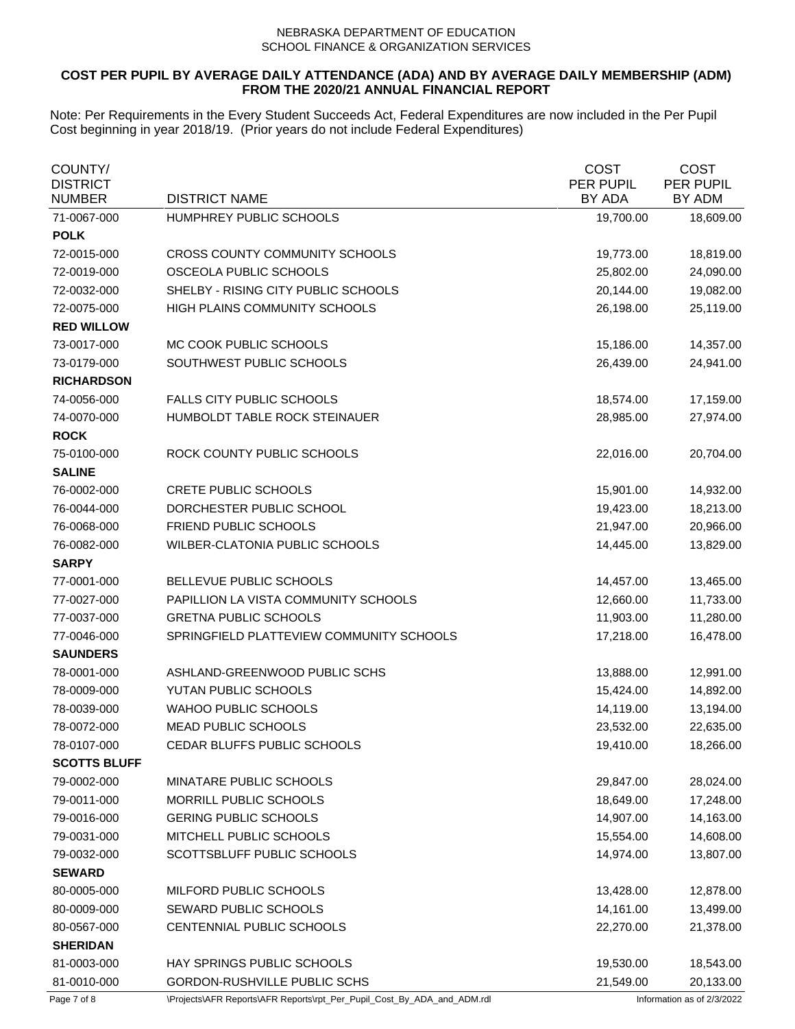## **COST PER PUPIL BY AVERAGE DAILY ATTENDANCE (ADA) AND BY AVERAGE DAILY MEMBERSHIP (ADM) FROM THE 2020/21 ANNUAL FINANCIAL REPORT**

| COUNTY/<br><b>DISTRICT</b><br><b>NUMBER</b> | <b>DISTRICT NAME</b>                     | <b>COST</b><br>PER PUPIL<br>BY ADA | <b>COST</b><br>PER PUPIL<br>BY ADM |
|---------------------------------------------|------------------------------------------|------------------------------------|------------------------------------|
| 71-0067-000                                 | HUMPHREY PUBLIC SCHOOLS                  | 19,700.00                          | 18,609.00                          |
| <b>POLK</b>                                 |                                          |                                    |                                    |
| 72-0015-000                                 | CROSS COUNTY COMMUNITY SCHOOLS           | 19,773.00                          | 18,819.00                          |
| 72-0019-000                                 | OSCEOLA PUBLIC SCHOOLS                   | 25,802.00                          | 24,090.00                          |
| 72-0032-000                                 | SHELBY - RISING CITY PUBLIC SCHOOLS      | 20,144.00                          | 19,082.00                          |
| 72-0075-000                                 | HIGH PLAINS COMMUNITY SCHOOLS            | 26,198.00                          | 25,119.00                          |
| <b>RED WILLOW</b>                           |                                          |                                    |                                    |
| 73-0017-000                                 | MC COOK PUBLIC SCHOOLS                   | 15,186.00                          | 14,357.00                          |
| 73-0179-000                                 | SOUTHWEST PUBLIC SCHOOLS                 | 26,439.00                          | 24,941.00                          |
| <b>RICHARDSON</b>                           |                                          |                                    |                                    |
| 74-0056-000                                 | <b>FALLS CITY PUBLIC SCHOOLS</b>         | 18,574.00                          | 17,159.00                          |
| 74-0070-000                                 | HUMBOLDT TABLE ROCK STEINAUER            | 28,985.00                          | 27,974.00                          |
| <b>ROCK</b>                                 |                                          |                                    |                                    |
| 75-0100-000                                 | ROCK COUNTY PUBLIC SCHOOLS               | 22,016.00                          | 20,704.00                          |
| <b>SALINE</b>                               |                                          |                                    |                                    |
| 76-0002-000                                 | <b>CRETE PUBLIC SCHOOLS</b>              | 15,901.00                          | 14,932.00                          |
| 76-0044-000                                 | DORCHESTER PUBLIC SCHOOL                 | 19,423.00                          | 18,213.00                          |
| 76-0068-000                                 | FRIEND PUBLIC SCHOOLS                    | 21,947.00                          | 20,966.00                          |
| 76-0082-000                                 | WILBER-CLATONIA PUBLIC SCHOOLS           | 14,445.00                          | 13,829.00                          |
| <b>SARPY</b>                                |                                          |                                    |                                    |
| 77-0001-000                                 | BELLEVUE PUBLIC SCHOOLS                  | 14,457.00                          | 13,465.00                          |
| 77-0027-000                                 | PAPILLION LA VISTA COMMUNITY SCHOOLS     | 12,660.00                          | 11,733.00                          |
| 77-0037-000                                 | <b>GRETNA PUBLIC SCHOOLS</b>             | 11,903.00                          | 11,280.00                          |
| 77-0046-000                                 | SPRINGFIELD PLATTEVIEW COMMUNITY SCHOOLS | 17,218.00                          | 16,478.00                          |
| <b>SAUNDERS</b>                             |                                          |                                    |                                    |
| 78-0001-000                                 | ASHLAND-GREENWOOD PUBLIC SCHS            | 13,888.00                          | 12,991.00                          |
| 78-0009-000                                 | YUTAN PUBLIC SCHOOLS                     | 15,424.00                          | 14,892.00                          |
| 78-0039-000                                 | <b>WAHOO PUBLIC SCHOOLS</b>              | 14,119.00                          | 13,194.00                          |
| 78-0072-000                                 | MEAD PUBLIC SCHOOLS                      | 23,532.00                          | 22,635.00                          |
| 78-0107-000                                 | CEDAR BLUFFS PUBLIC SCHOOLS              | 19,410.00                          | 18,266.00                          |
| <b>SCOTTS BLUFF</b>                         |                                          |                                    |                                    |
| 79-0002-000                                 | MINATARE PUBLIC SCHOOLS                  | 29,847.00                          | 28,024.00                          |
| 79-0011-000                                 | MORRILL PUBLIC SCHOOLS                   | 18,649.00                          | 17,248.00                          |
| 79-0016-000                                 | <b>GERING PUBLIC SCHOOLS</b>             | 14,907.00                          | 14,163.00                          |
| 79-0031-000                                 | MITCHELL PUBLIC SCHOOLS                  | 15,554.00                          | 14,608.00                          |
| 79-0032-000                                 | SCOTTSBLUFF PUBLIC SCHOOLS               | 14,974.00                          | 13,807.00                          |
| <b>SEWARD</b>                               |                                          |                                    |                                    |
| 80-0005-000                                 | MILFORD PUBLIC SCHOOLS                   | 13,428.00                          | 12,878.00                          |
| 80-0009-000                                 | SEWARD PUBLIC SCHOOLS                    | 14,161.00                          | 13,499.00                          |
| 80-0567-000                                 | CENTENNIAL PUBLIC SCHOOLS                | 22,270.00                          | 21,378.00                          |
| <b>SHERIDAN</b>                             |                                          |                                    |                                    |
| 81-0003-000                                 | HAY SPRINGS PUBLIC SCHOOLS               | 19,530.00                          | 18,543.00                          |
| 81-0010-000                                 | GORDON-RUSHVILLE PUBLIC SCHS             | 21,549.00                          | 20,133.00                          |